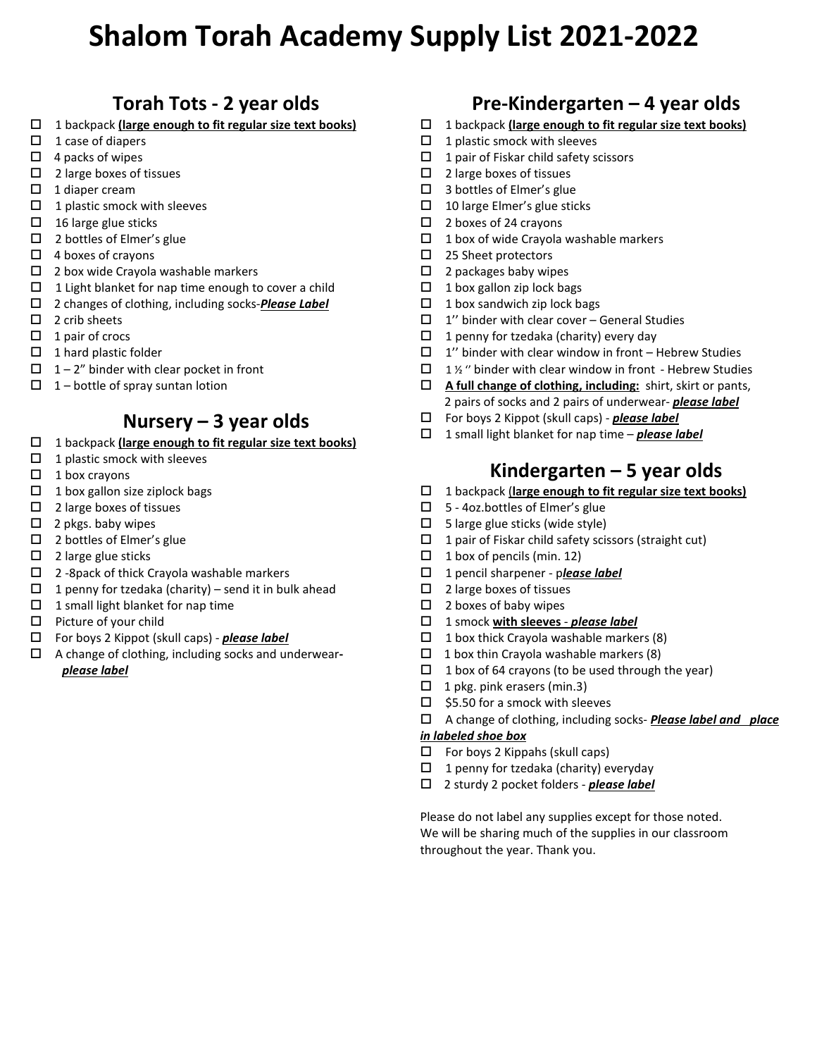## **Torah Tots - 2 year olds**

- 1 backpack **(large enough to fit regular size text books)**
- $\Box$  1 case of diapers
- $\Box$  4 packs of wipes
- $\Box$  2 large boxes of tissues
- $\Box$  1 diaper cream
- $\Box$  1 plastic smock with sleeves
- $\Box$  16 large glue sticks
- $\Box$  2 bottles of Elmer's glue
- $\Box$  4 boxes of crayons
- $\Box$  2 box wide Crayola washable markers
- $\Box$  1 Light blanket for nap time enough to cover a child
- 2 changes of clothing, including socks‐*Please Label*
- $\Box$  2 crib sheets
- $\Box$  1 pair of crocs
- $\Box$  1 hard plastic folder
- $\Box$  1 2" binder with clear pocket in front
- $\Box$  1 bottle of spray suntan lotion

## **Nursery – 3 year olds**

- 1 backpack **(large enough to fit regular size text books)**
- $\Box$  1 plastic smock with sleeves
- $\Box$  1 box crayons
- $\Box$  1 box gallon size ziplock bags
- $\Box$  2 large boxes of tissues
- $\Box$  2 pkgs. baby wipes
- $\Box$  2 bottles of Elmer's glue
- $\Box$  2 large glue sticks
- $\Box$  2 -8 pack of thick Crayola washable markers
- $\Box$  1 penny for tzedaka (charity) send it in bulk ahead
- $\Box$  1 small light blanket for nap time
- $\Box$  Picture of your child
- For boys 2 Kippot (skull caps) ‐ *please label*
- A change of clothing, including socks and underwear**‐**  *please label*

## **Pre‐Kindergarten – 4 year olds**

- 1 backpack **(large enough to fit regular size text books)**
- $\Box$  1 plastic smock with sleeves
- $\Box$  1 pair of Fiskar child safety scissors
- $\Box$  2 large boxes of tissues
- □ 3 bottles of Elmer's glue
- $\Box$  10 large Elmer's glue sticks
- $\Box$  2 boxes of 24 crayons
- $\Box$  1 box of wide Crayola washable markers
- □ 25 Sheet protectors
- $\Box$  2 packages baby wipes
- $\Box$  1 box gallon zip lock bags
- $\Box$  1 box sandwich zip lock bags
- $\Box$  1" binder with clear cover General Studies
- $\Box$  1 penny for tzedaka (charity) every day
- $\Box$  1" binder with clear window in front Hebrew Studies
- $\Box$  1 % " binder with clear window in front Hebrew Studies
- **A full change of clothing, including:** shirt, skirt or pants, 2 pairs of socks and 2 pairs of underwear‐ *please label*
- For boys 2 Kippot (skull caps) ‐ *please label*
- 1 small light blanket for nap time *please label*

## **Kindergarten – 5 year olds**

- 1 backpack (**large enough to fit regular size text books)**
- $\Box$  5 4oz.bottles of Elmer's glue
- $\Box$  5 large glue sticks (wide style)
- $\Box$  1 pair of Fiskar child safety scissors (straight cut)
- $\Box$  1 box of pencils (min. 12)
- 1 pencil sharpener p*lease label*
- $\square$  2 large boxes of tissues
- $\Box$  2 boxes of baby wipes
- 1 smock **with sleeves** *please label*
- $\Box$  1 box thick Crayola washable markers (8)
- $\Box$  1 box thin Crayola washable markers (8)
- $\Box$  1 box of 64 crayons (to be used through the year)
- $\Box$  1 pkg. pink erasers (min.3)
- $\Box$  \$5.50 for a smock with sleeves
- A change of clothing, including socks‐ *Please label and place*

### *in labeled shoe box*

- $\Box$  For boys 2 Kippahs (skull caps)
- $\Box$  1 penny for tzedaka (charity) everyday
- 2 sturdy 2 pocket folders *please label*

Please do not label any supplies except for those noted. We will be sharing much of the supplies in our classroom throughout the year. Thank you.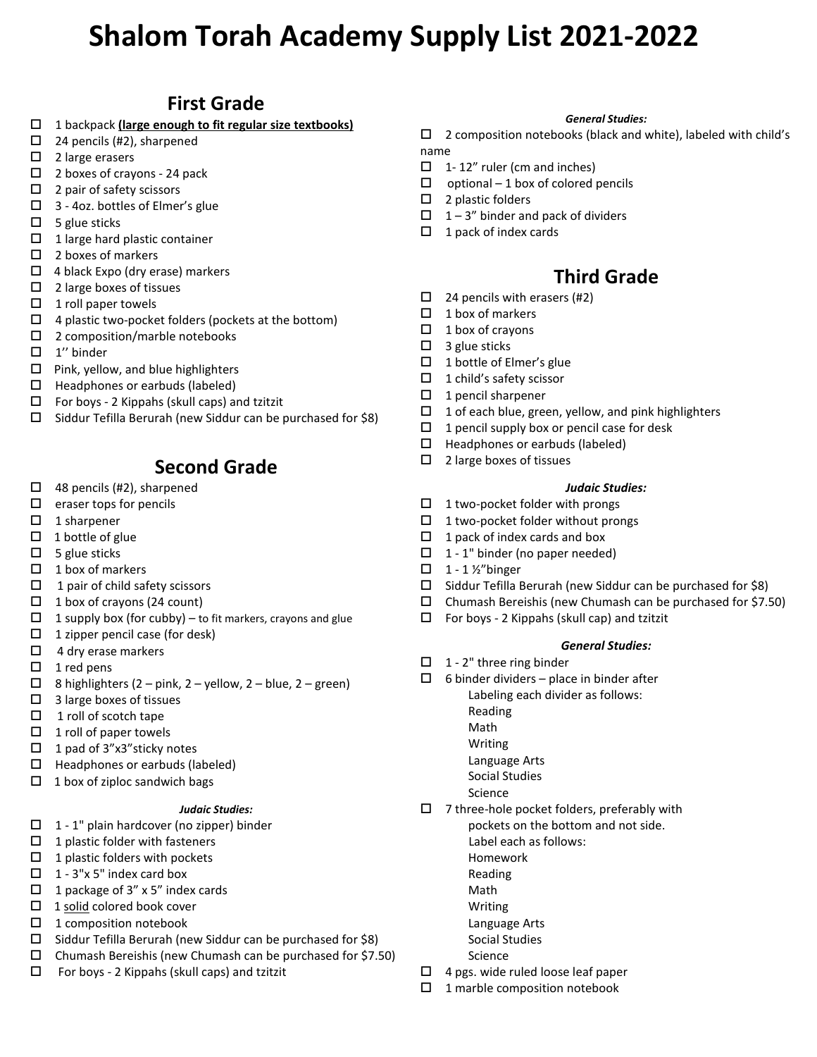## **First Grade**

- □ 1 backpack *(large enough to fit regular size textbooks)*
- $\Box$  24 pencils (#2), sharpened
- $\Box$  2 large erasers
- □ 2 boxes of crayons 24 pack
- $\Box$  2 pair of safety scissors
- $\Box$  3 4oz. bottles of Elmer's glue
- $\Box$  5 glue sticks
- $\Box$  1 large hard plastic container
- $\Box$  2 boxes of markers
- $\Box$  4 black Expo (dry erase) markers
- $\Box$  2 large boxes of tissues
- $\Box$  1 roll paper towels
- $\Box$  4 plastic two-pocket folders (pockets at the bottom)
- □ 2 composition/marble notebooks
- $\Box$  1" binder
- $\Box$  Pink, yellow, and blue highlighters
- $\Box$  Headphones or earbuds (labeled)
- $\Box$  For boys 2 Kippahs (skull caps) and tzitzit
- $\Box$  Siddur Tefilla Berurah (new Siddur can be purchased for \$8)

## **Second Grade**

- $\Box$  48 pencils (#2), sharpened
- $\Box$  eraser tops for pencils
- $\Box$  1 sharpener
- $\Box$  1 bottle of glue
- $\Box$  5 glue sticks
- $\Box$  1 box of markers
- $\Box$  1 pair of child safety scissors
- $\Box$  1 box of crayons (24 count)
- $\Box$  1 supply box (for cubby) to fit markers, crayons and glue
- $\Box$  1 zipper pencil case (for desk)
- $\Box$  4 dry erase markers
- $\Box$  1 red pens
- $\Box$  8 highlighters (2 pink, 2 yellow, 2 blue, 2 green)
- $\Box$  3 large boxes of tissues
- $\Box$  1 roll of scotch tape
- $\Box$  1 roll of paper towels
- $\Box$  1 pad of 3"x3" sticky notes
- $\Box$  Headphones or earbuds (labeled)
- $\Box$  1 box of ziploc sandwich bags

### *Judaic Studies:*

- $\Box$  1 1" plain hardcover (no zipper) binder
- $\Box$  1 plastic folder with fasteners
- $\Box$  1 plastic folders with pockets
- $\Box$  1 3"x 5" index card box
- $\Box$  1 package of 3" x 5" index cards
- $\Box$  1 solid colored book cover
- $\Box$  1 composition notebook
- $\Box$  Siddur Tefilla Berurah (new Siddur can be purchased for \$8)
- $\Box$  Chumash Bereishis (new Chumash can be purchased for \$7.50)
- $\Box$  For boys 2 Kippahs (skull caps) and tzitzit

#### *General Studies:*

 $\square$  2 composition notebooks (black and white), labeled with child's name

- $\Box$  1-12" ruler (cm and inches)
- $\Box$  optional 1 box of colored pencils
- $\Box$  2 plastic folders
- $\Box$  1 3" binder and pack of dividers
- $\Box$  1 pack of index cards

### **Third Grade**

- $\Box$  24 pencils with erasers (#2)
- $\Box$  1 box of markers
- $\Box$  1 box of crayons
- $\Box$  3 glue sticks
- $\Box$  1 bottle of Elmer's glue
- $\Box$  1 child's safety scissor
- $\Box$  1 pencil sharpener
- $\Box$  1 of each blue, green, yellow, and pink highlighters
- $\Box$  1 pencil supply box or pencil case for desk
- $\Box$  Headphones or earbuds (labeled)
- $\square$  2 large boxes of tissues

### *Judaic Studies:*

- $\Box$  1 two-pocket folder with prongs
- $\Box$  1 two-pocket folder without prongs
- $\Box$  1 pack of index cards and box
- $\Box$  1 1" binder (no paper needed)
- $\Box$  1 1 1/2" binger
- $\square$  Siddur Tefilla Berurah (new Siddur can be purchased for \$8)
- $\Box$  Chumash Bereishis (new Chumash can be purchased for \$7.50)
- $\square$  For boys 2 Kippahs (skull cap) and tzitzit

### *General Studies:*

- $\Box$  1 2" three ring binder
- $\Box$  6 binder dividers place in binder after Labeling each divider as follows:
	- Reading
	- Math
	- Writing
	- Language Arts
	- Social Studies
	- Science
- $\square$  7 three-hole pocket folders, preferably with pockets on the bottom and not side. Label each as follows:
	- Homework
	- Reading
	- Math
	- Writing
	- Language Arts
	- Social Studies
	- Science
- $\Box$  4 pgs. wide ruled loose leaf paper
- $\Box$  1 marble composition notebook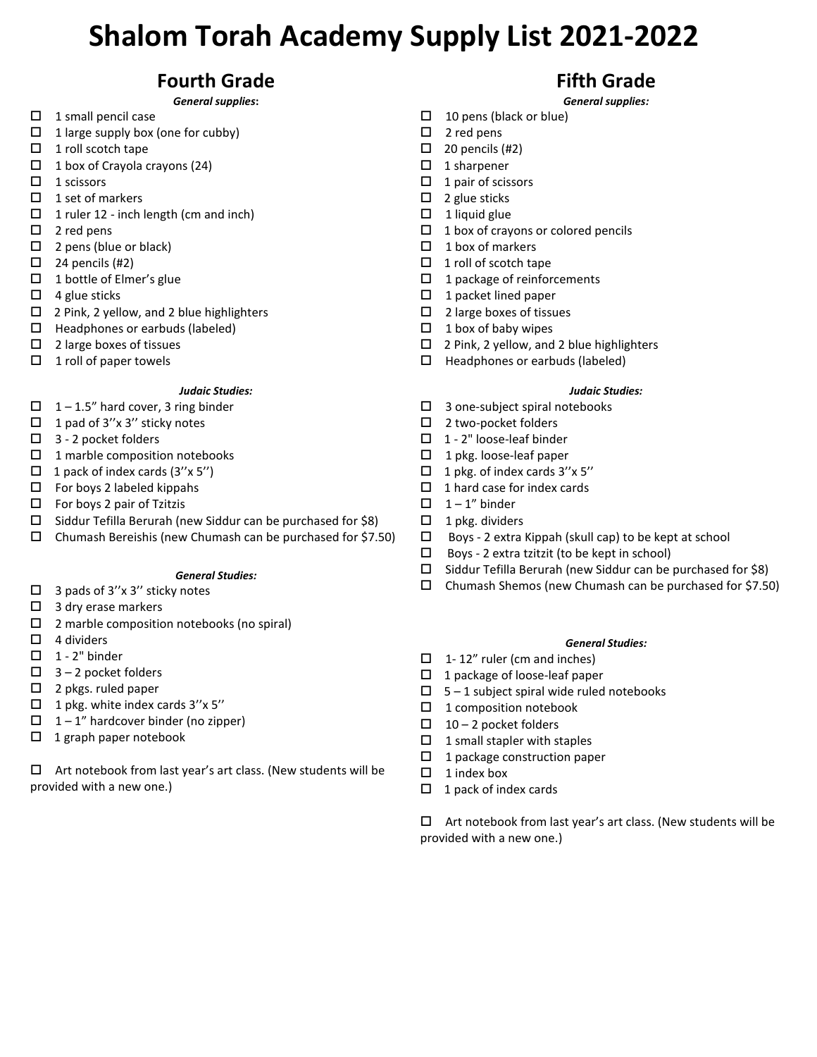## **Fourth Grade**

*General supplies***:** 

- $\Box$  1 small pencil case
- $\Box$  1 large supply box (one for cubby)
- $\Box$  1 roll scotch tape
- $\Box$  1 box of Crayola crayons (24)
- $\Box$  1 scissors
- $\Box$  1 set of markers
- $\Box$  1 ruler 12 inch length (cm and inch)
- $\Box$  2 red pens
- $\Box$  2 pens (blue or black)
- $\Box$  24 pencils (#2)
- $\Box$  1 bottle of Elmer's glue
- $\Box$  4 glue sticks
- □ 2 Pink, 2 yellow, and 2 blue highlighters
- $\Box$  Headphones or earbuds (labeled)
- $\Box$  2 large boxes of tissues
- $\Box$  1 roll of paper towels

### *Judaic Studies:*

- $\Box$  1 1.5" hard cover, 3 ring binder
- $\Box$  1 pad of 3"x 3" sticky notes
- $\Box$  3 2 pocket folders
- $\Box$  1 marble composition notebooks
- $\Box$  1 pack of index cards (3"x 5")
- $\Box$  For boys 2 labeled kippahs
- $\square$  For boys 2 pair of Tzitzis
- $\Box$  Siddur Tefilla Berurah (new Siddur can be purchased for \$8)
- $\Box$  Chumash Bereishis (new Chumash can be purchased for \$7.50)

### *General Studies:*

- $\Box$  3 pads of 3"x 3" sticky notes
- $\Box$  3 dry erase markers
- $\Box$  2 marble composition notebooks (no spiral)
- $\Box$  4 dividers
- $\Box$  1 2" binder
- $\Box$  3 2 pocket folders
- $\Box$  2 pkgs. ruled paper
- $\Box$  1 pkg. white index cards 3"x 5"
- $\Box$  1 1" hardcover binder (no zipper)
- $\Box$  1 graph paper notebook

 $\Box$  Art notebook from last year's art class. (New students will be provided with a new one.)

## **Fifth Grade**

### *General supplies:*

- $\Box$  10 pens (black or blue)
- $\square$  2 red pens
- $\Box$  20 pencils (#2)
- $\Box$  1 sharpener
- $\Box$  1 pair of scissors
- $\Box$  2 glue sticks
- $\Box$  1 liquid glue
- $\Box$  1 box of crayons or colored pencils
- $\Box$  1 box of markers
- $\Box$  1 roll of scotch tape
- $\Box$  1 package of reinforcements
- $\Box$  1 packet lined paper
- $\Box$  2 large boxes of tissues
- $\Box$  1 box of baby wipes
- $\square$  2 Pink, 2 yellow, and 2 blue highlighters
- $\Box$  Headphones or earbuds (labeled)

### *Judaic Studies:*

- $\Box$  3 one-subject spiral notebooks
- □ 2 two-pocket folders
- $\Box$  1 2" loose-leaf binder
- $\Box$  1 pkg. loose-leaf paper
- $\Box$  1 pkg. of index cards 3"x 5"
- $\Box$  1 hard case for index cards
- $\Box$  1 1" binder
- $\Box$  1 pkg. dividers
- $\Box$  Boys 2 extra Kippah (skull cap) to be kept at school
- $\square$  Boys 2 extra tzitzit (to be kept in school)
- $\Box$  Siddur Tefilla Berurah (new Siddur can be purchased for \$8)
- Chumash Shemos (new Chumash can be purchased for \$7.50)

### *General Studies:*

- $\Box$  1-12" ruler (cm and inches)
- $\Box$  1 package of loose-leaf paper
- $\Box$  5 1 subject spiral wide ruled notebooks
- $\Box$  1 composition notebook
- $\Box$  10 2 pocket folders
- $\Box$  1 small stapler with staples
- $\Box$  1 package construction paper
- $\Box$  1 index box
- $\Box$  1 pack of index cards

 $\Box$  Art notebook from last year's art class. (New students will be provided with a new one.)